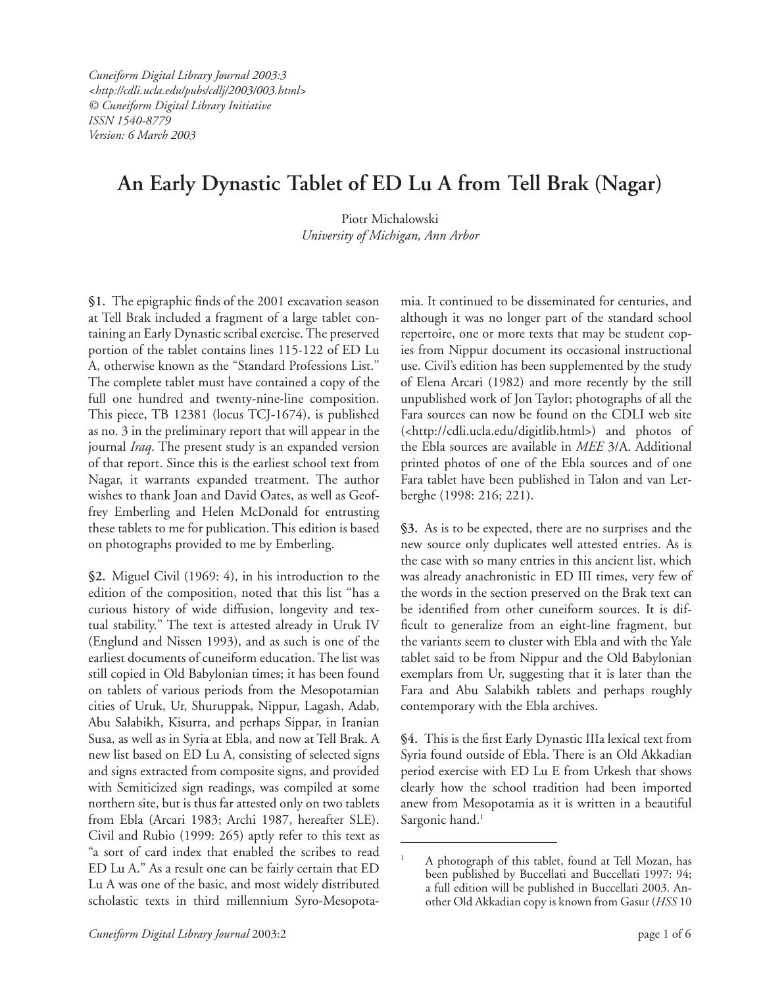*Cuneiform Digital Library Journal 2003:3 <http://cdli.ucla.edu/pubs/cdlj/2003/003.html> © Cuneiform Digital Library Initiative ISSN 1540-8779 Version: 6 March 2003*

# **An Early Dynastic Tablet of ED Lu A from Tell Brak (Nagar)**

Piotr Michalowski *University of Michigan, Ann Arbor*

**§1.** The epigraphic finds of the 2001 excavation season at Tell Brak included a fragment of a large tablet containing an Early Dynastic scribal exercise. The preserved portion of the tablet contains lines 115-122 of ED Lu A, otherwise known as the "Standard Professions List." The complete tablet must have contained a copy of the full one hundred and twenty-nine-line composition. This piece, TB 12381 (locus TCJ-1674), is published as no. 3 in the preliminary report that will appear in the journal *Iraq*. The present study is an expanded version of that report. Since this is the earliest school text from Nagar, it warrants expanded treatment. The author wishes to thank Joan and David Oates, as well as Geoffrey Emberling and Helen McDonald for entrusting these tablets to me for publication. This edition is based on photographs provided to me by Emberling.

**§2.** Miguel Civil (1969: 4), in his introduction to the edition of the composition, noted that this list "has a curious history of wide diffusion, longevity and textual stability." The text is attested already in Uruk IV (Englund and Nissen 1993), and as such is one of the earliest documents of cuneiform education. The list was still copied in Old Babylonian times; it has been found on tablets of various periods from the Mesopotamian cities of Uruk, Ur, Shuruppak, Nippur, Lagash, Adab, Abu Salabikh, Kisurra, and perhaps Sippar, in Iranian Susa, as well as in Syria at Ebla, and now at Tell Brak. A new list based on ED Lu A, consisting of selected signs and signs extracted from composite signs, and provided with Semiticized sign readings, was compiled at some northern site, but is thus far attested only on two tablets from Ebla (Arcari 1983; Archi 1987, hereafter SLE). Civil and Rubio (1999: 265) aptly refer to this text as "a sort of card index that enabled the scribes to read ED Lu A." As a result one can be fairly certain that ED Lu A was one of the basic, and most widely distributed scholastic texts in third millennium Syro-Mesopotamia. It continued to be disseminated for centuries, and although it was no longer part of the standard school repertoire, one or more texts that may be student copies from Nippur document its occasional instructional use. Civil's edition has been supplemented by the study of Elena Arcari (1982) and more recently by the still unpublished work of Jon Taylor; photographs of all the Fara sources can now be found on the CDLI web site (<http://cdli.ucla.edu/digitlib.html>) and photos of the Ebla sources are available in *MEE* 3/A. Additional printed photos of one of the Ebla sources and of one Fara tablet have been published in Talon and van Lerberghe (1998: 216; 221).

**§3.** As is to be expected, there are no surprises and the new source only duplicates well attested entries. As is the case with so many entries in this ancient list, which was already anachronistic in ED III times, very few of the words in the section preserved on the Brak text can be identified from other cuneiform sources. It is difficult to generalize from an eight-line fragment, but the variants seem to cluster with Ebla and with the Yale tablet said to be from Nippur and the Old Babylonian exemplars from Ur, suggesting that it is later than the Fara and Abu Salabikh tablets and perhaps roughly contemporary with the Ebla archives.

**§4.** This is the first Early Dynastic IIIa lexical text from Syria found outside of Ebla. There is an Old Akkadian period exercise with ED Lu E from Urkesh that shows clearly how the school tradition had been imported anew from Mesopotamia as it is written in a beautiful Sargonic hand.<sup>1</sup>

<sup>1</sup> A photograph of this tablet, found at Tell Mozan, has been published by Buccellati and Buccellati 1997: 94; a full edition will be published in Buccellati 2003. Another Old Akkadian copy is known from Gasur (*HSS* 10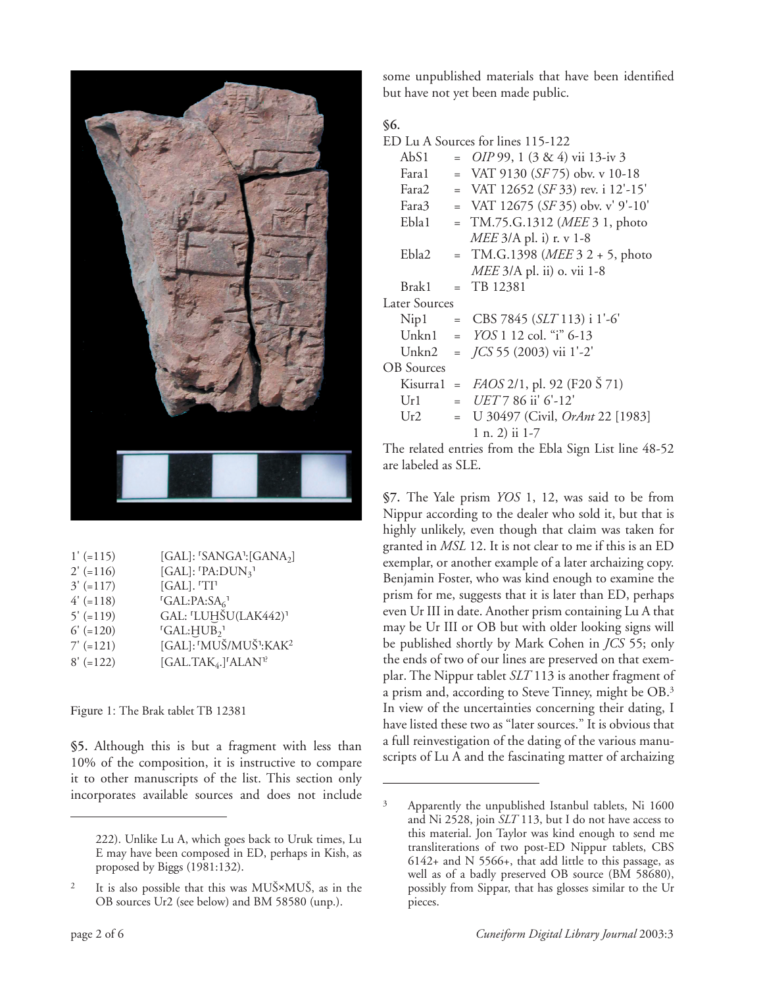

| $1' (=115)$ | [GAL]: 'SANGA': [GANA2]                                  |
|-------------|----------------------------------------------------------|
| $2' (=116)$ | [GAL]: $\text{PA:}DUN_{3}$ <sup>1</sup>                  |
| $3' (-117)$ | [GAL]. 'TI'                                              |
| $4'$ (=118) | ${}^{r}GAL:PA:SA_{6}$ <sup>1</sup>                       |
| $5'$ (=119) | GAL: 'LUHŠU(LAK442)'                                     |
| $6' (=120)$ | <sup>r</sup> GAL:HUB <sub>2</sub> <sup>1</sup>           |
| $7' (-121)$ | [GAL]: 'MUŠ/MUŠ':KAK <sup>2</sup>                        |
| $8' (=122)$ | [GAL.TAK <sub>4</sub> .] <sup>[</sup> ALAN <sup>1?</sup> |

Figure 1: The Brak tablet TB 12381

**§5.** Although this is but a fragment with less than 10% of the composition, it is instructive to compare it to other manuscripts of the list. This section only incorporates available sources and does not include

some unpublished materials that have been identified but have not yet been made public.

# **§6.**

| ED Lu A Sources for lines 115-122 |     |                                          |  |
|-----------------------------------|-----|------------------------------------------|--|
| Ab <sub>S1</sub>                  |     | $=$ <i>OIP</i> 99, 1 (3 & 4) vii 13-iv 3 |  |
| Fara1                             |     | = VAT 9130 $(SF75)$ obv. v 10-18         |  |
| Fara2                             |     | = VAT 12652 (SF 33) rev. i 12'-15'       |  |
| Fara3                             |     | = VAT 12675 (SF 35) obv. v' 9'-10'       |  |
| Ebla1                             | $=$ | TM.75.G.1312 ( <i>MEE</i> 3 1, photo     |  |
|                                   |     | <i>MEE</i> 3/A pl. i) r. v 1-8           |  |
| Ebla2                             | $=$ | TM.G.1398 (MEE 3 2 + 5, photo            |  |
|                                   |     | MEE 3/A pl. ii) o. vii 1-8               |  |
| Brak1                             |     | $=$ TB 12381                             |  |
| <b>Later Sources</b>              |     |                                          |  |
| Nip1                              |     | = $CBS 7845 (SLT 113)$ i 1'-6'           |  |
|                                   |     | Unkn1 = $YOS 1 12$ col. "i" 6-13         |  |
| Unkn2                             |     | $=$ $\frac{7CS55(2003)}{11^2-2}$         |  |
| <b>OB</b> Sources                 |     |                                          |  |
| Kisurra1 =                        |     | FAOS 2/1, pl. 92 (F20 Š 71)              |  |
| Ur1                               |     | $= UET 7 86$ ii' 6'-12'                  |  |
| Ur2                               | $=$ | U 30497 (Civil, OrAnt 22 [1983]          |  |
|                                   |     | 1 n. 2) ii 1-7                           |  |
|                                   |     |                                          |  |

The related entries from the Ebla Sign List line 48-52 are labeled as SLE.

**§7.** The Yale prism *YOS* 1, 12, was said to be from Nippur according to the dealer who sold it, but that is highly unlikely, even though that claim was taken for granted in *MSL* 12. It is not clear to me if this is an ED exemplar, or another example of a later archaizing copy. Benjamin Foster, who was kind enough to examine the prism for me, suggests that it is later than ED, perhaps even Ur III in date. Another prism containing Lu A that may be Ur III or OB but with older looking signs will be published shortly by Mark Cohen in *JCS* 55; only the ends of two of our lines are preserved on that exemplar. The Nippur tablet *SLT* 113 is another fragment of a prism and, according to Steve Tinney, might be OB.3 In view of the uncertainties concerning their dating, I have listed these two as "later sources." It is obvious that a full reinvestigation of the dating of the various manuscripts of Lu A and the fascinating matter of archaizing

<sup>222).</sup> Unlike Lu A, which goes back to Uruk times, Lu E may have been composed in ED, perhaps in Kish, as proposed by Biggs (1981:132).

<sup>2</sup> It is also possible that this was MU∑×MU∑, as in the OB sources Ur2 (see below) and BM 58580 (unp.).

<sup>3</sup> Apparently the unpublished Istanbul tablets, Ni 1600 and Ni 2528, join *SLT* 113, but I do not have access to this material. Jon Taylor was kind enough to send me transliterations of two post-ED Nippur tablets, CBS 6142+ and N 5566+, that add little to this passage, as well as of a badly preserved OB source (BM 58680), possibly from Sippar, that has glosses similar to the Ur pieces.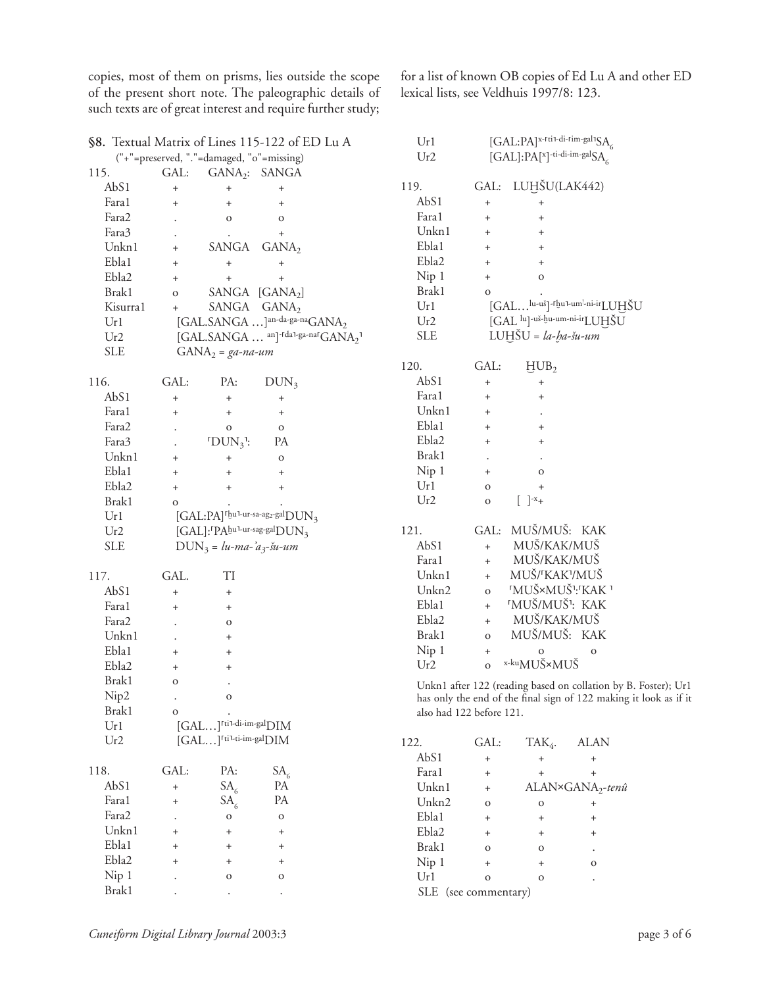copies, most of them on prisms, lies outside the scope of the present short note. The paleographic details of such texts are of great interest and require further study;

for a list of known OB copies of Ed Lu A and other ED lexical lists, see Veldhuis 1997/8: 123.

| §8. Textual Matrix of Lines 115-122 of ED Lu A |              |                                     | Ur1                                                                                                                |                          | $[GAL:PA]^{x-fti1-di-Fim-gal1}SA$ |                                                                   |                              |  |
|------------------------------------------------|--------------|-------------------------------------|--------------------------------------------------------------------------------------------------------------------|--------------------------|-----------------------------------|-------------------------------------------------------------------|------------------------------|--|
| ("+"=preserved, "."=damaged, "o"=missing)      |              |                                     |                                                                                                                    | Ur2                      |                                   | [GAL]:PA[ <sup>x</sup> ]-ti-di-im-galSA                           |                              |  |
| 115.                                           | GAL:         |                                     | GANA <sub>2</sub> : SANGA                                                                                          |                          |                                   |                                                                   |                              |  |
| AbS1                                           | $^{+}$       | $\ddot{}$                           | $^{+}$                                                                                                             | 119.                     |                                   | GAL: LUḤŠU(LAK442)                                                |                              |  |
| Fara1                                          | $^{+}$       | $\ddot{}$                           | $^{+}$                                                                                                             | AbS1                     | $\ddot{}$                         | $^{+}$                                                            |                              |  |
| Fara2                                          |              | $\mathbf O$                         | $\rm{O}$                                                                                                           | Fara1                    | $\ddot{}$                         | $\ddot{}$                                                         |                              |  |
| Fara3                                          |              |                                     | $\qquad \qquad +$                                                                                                  | Unkn1                    | $+$                               | $\begin{array}{c} + \end{array}$                                  |                              |  |
| Unkn1                                          | $^{+}$       | SANGA                               | GANA <sub>2</sub>                                                                                                  | Ebla1                    | $+$                               | $\begin{array}{c} + \end{array}$                                  |                              |  |
| Ebla1                                          | $^{+}$       |                                     | $^{+}$                                                                                                             | Ebla2                    | $\qquad \qquad +$                 | $^{+}$                                                            |                              |  |
| Ebla2                                          | $^{+}$       | $\begin{array}{c} + \end{array}$    | $\qquad \qquad +$                                                                                                  | Nip 1                    | $\qquad \qquad +$                 | $\mathbf O$                                                       |                              |  |
| Brak1                                          | $\mathbf O$  |                                     | SANGA [GANA <sub>2</sub> ]                                                                                         | Brak1                    | $\mathbf O$                       |                                                                   |                              |  |
| Kisurra1                                       | $+$          |                                     | SANGA GANA2                                                                                                        | Ur1                      |                                   | [GAL lu-uš]-rhu1-um'-ni-irLUHŠU                                   |                              |  |
| Ur1                                            |              |                                     | [GAL.SANGA ] <sup>an-da-ga-na</sup> GANA <sub>2</sub>                                                              | Ur2                      |                                   | [GAL lu]-uš-hu-um-ni-irLUHŠU                                      |                              |  |
| Ur2                                            |              |                                     | $[\mathsf{GAL}.\mathsf{SANGA}\; \; \mathsf{^{an}]}\mathsf{^{rda1}\! \mathsf{g}a\mathsf{^{-na1}\! \mathsf{G}ANA_2}$ | <b>SLE</b>               |                                   | $LUH\text{\sV} = la-ba-šu-um$                                     |                              |  |
| <b>SLE</b>                                     |              | $GANA_2 = ga-na-um$                 |                                                                                                                    |                          |                                   |                                                                   |                              |  |
|                                                |              |                                     |                                                                                                                    | 120.                     | GAL:                              | HUB <sub>2</sub>                                                  |                              |  |
| 116.                                           | GAL:         | PA:                                 | $DUN_3$                                                                                                            | AbS1                     | $\ddot{}$                         | $^{\mathrm{+}}$                                                   |                              |  |
| AbS1                                           | $^{+}$       | $^{+}$                              | $^{+}$                                                                                                             | Fara1                    | $+$                               | $^{+}$                                                            |                              |  |
| Fara1                                          | $^{+}$       | $\boldsymbol{+}$                    | $\begin{array}{c} + \end{array}$                                                                                   | Unkn1                    | $^{+}$                            |                                                                   |                              |  |
| Fara2                                          |              | $\mathbf O$                         |                                                                                                                    | Ebla1                    | $+$                               | $\begin{array}{c} + \end{array}$                                  |                              |  |
| Fara3                                          |              | $TDUN_3$ :                          | $\mathbf O$<br>PA                                                                                                  | Ebla2                    | $\ddot{}$                         | $^{+}$                                                            |                              |  |
| Unkn1                                          |              |                                     |                                                                                                                    | Brak1                    |                                   |                                                                   |                              |  |
| Ebla1                                          | $^{+}$       | $^{+}$                              | $\rm{O}$                                                                                                           | Nip 1                    | $\cdot$<br>$^{+}$                 | $\mathbf O$                                                       |                              |  |
| Ebla2                                          | $^{+}$       | $\ddot{}$                           | $^{+}$                                                                                                             | Ur1                      |                                   |                                                                   |                              |  |
| Brak1                                          | $^{+}$       | $\begin{array}{c} + \end{array}$    | $^{+}$                                                                                                             | Ur2                      | $\mathbf O$                       | $^{+}$<br>$\begin{bmatrix} \end{bmatrix}^{-x}$ +                  |                              |  |
|                                                | $\mathbf{o}$ |                                     | $[GAL:PA]$ <sup>rhu1-ur-sa-ag2-gal</sup> $DUN3$                                                                    |                          | $\mathbf O$                       |                                                                   |                              |  |
| Ur1                                            |              |                                     | [GAL]: <sup>r</sup> PAbu <sup>1-ur-sag-gal</sup> DUN <sub>3</sub>                                                  | 121.                     |                                   | GAL: MUŠ/MUŠ: KAK                                                 |                              |  |
| Ur2                                            |              |                                     |                                                                                                                    | AbS1                     |                                   | MUŠ/KAK/MUŠ                                                       |                              |  |
| <b>SLE</b>                                     |              | $DUN_3 = lu-ma-a_3-su-um$           |                                                                                                                    |                          | $+$                               | MUŠ/KAK/MUŠ                                                       |                              |  |
|                                                |              |                                     |                                                                                                                    | Faral                    | $+$                               |                                                                   |                              |  |
| 117.                                           | GAL.         | TI                                  |                                                                                                                    | Unkn1                    | $+$                               | MUŠ/ <sup>r</sup> KAK <sup>1</sup> /MUŠ                           |                              |  |
| AbS1                                           | $^{+}$       | $^{+}$                              |                                                                                                                    | Unkn2                    | $\mathbf{o}$                      | <b>'MUŠ×MUŠ':'KAK '</b>                                           |                              |  |
| Fara1                                          | $^{+}$       | $^{+}$                              |                                                                                                                    | Ebla1                    | $+$                               | 'MUŠ/MUŠ <sup>1</sup> : KAK                                       |                              |  |
| Fara2                                          |              | $\mathbf O$                         |                                                                                                                    | Ebla2                    | $+$                               | MUŠ/KAK/MUŠ                                                       |                              |  |
| Unkn1                                          |              | $^{+}$                              |                                                                                                                    | Brak1                    | $\mathbf{o}$                      | MUŠ/MUŠ: KAK                                                      |                              |  |
| Ebla1                                          | $^{+}$       | $^{+}$                              |                                                                                                                    | Nip 1                    | $^+$                              | $\mathbf{O}$                                                      | $\mathbf O$                  |  |
| Ebla2                                          | $^{+}$       | $\begin{array}{c} + \end{array}$    |                                                                                                                    | Ur2                      | $\mathbf{o}$                      | x-ku <sub>MU</sub> Š×MUŠ                                          |                              |  |
| Brak1                                          | $\mathbf{O}$ |                                     |                                                                                                                    |                          |                                   | Unkn1 after 122 (reading based on collation by B. Foster); Ur1    |                              |  |
| Nip2                                           |              | $\mathbf{O}$                        |                                                                                                                    |                          |                                   | has only the end of the final sign of 122 making it look as if it |                              |  |
| Brak1                                          | $\mathbf{O}$ |                                     |                                                                                                                    | also had 122 before 121. |                                   |                                                                   |                              |  |
| Ur1                                            |              | [GAL] <sup>rti1-di-im-gal</sup> DIM |                                                                                                                    |                          |                                   |                                                                   |                              |  |
| Ur2                                            |              | [GAL] <sup>[til-ti-im-gal</sup> DIM |                                                                                                                    | 122.                     | GAL:                              | TA $K_4$ .                                                        | <b>ALAN</b>                  |  |
|                                                |              |                                     |                                                                                                                    | AbS1                     | $\begin{array}{c} + \end{array}$  | $^{+}$                                                            | $^+$                         |  |
| 118.                                           | GAL:         | PA:                                 | SA <sub>6</sub>                                                                                                    | Fara1                    | $\begin{array}{c} + \end{array}$  | $^+$                                                              | $\ddot{}$                    |  |
| AbS1                                           | $^{+}$       | SA <sub>6</sub>                     | PA                                                                                                                 | Unkn1                    | $^{+}$                            |                                                                   | ALAN×GANA <sub>2</sub> -tenû |  |
| Fara1                                          | $^{+}$       | SA <sub>6</sub>                     | PA                                                                                                                 | Unkn2                    | $\mathbf O$                       | $\rm{O}$                                                          | $^{+}$                       |  |
| Fara2                                          |              | $\rm{O}$                            | $\mathbf O$                                                                                                        | Ebla1                    | $\begin{array}{c} + \end{array}$  | $^+$                                                              | $\ddot{}$                    |  |
| Unkn1                                          | $^{+}$       | $\boldsymbol{+}$                    | $^{+}$                                                                                                             | Ebla2                    | $\ddot{}$                         | $^{+}$                                                            | $\ddot{}$                    |  |
| Ebla1                                          | $^{+}$       | $+$                                 | $^{+}$                                                                                                             | Brak1                    | $\mathbf O$                       | ${\rm O}$                                                         |                              |  |
| Ebla2                                          | $\ddot{}$    | $\begin{array}{c} + \end{array}$    | $^{+}$                                                                                                             | Nip 1                    | $\ddot{}$                         | $^{\mathrm{+}}$                                                   | $\mathbf O$                  |  |
| Nip 1                                          |              | $\mathbf O$                         | 0                                                                                                                  | Ur1                      | $\mathbf 0$                       | ${\rm O}$                                                         |                              |  |

SLE (see commentary)

Brak1 . . .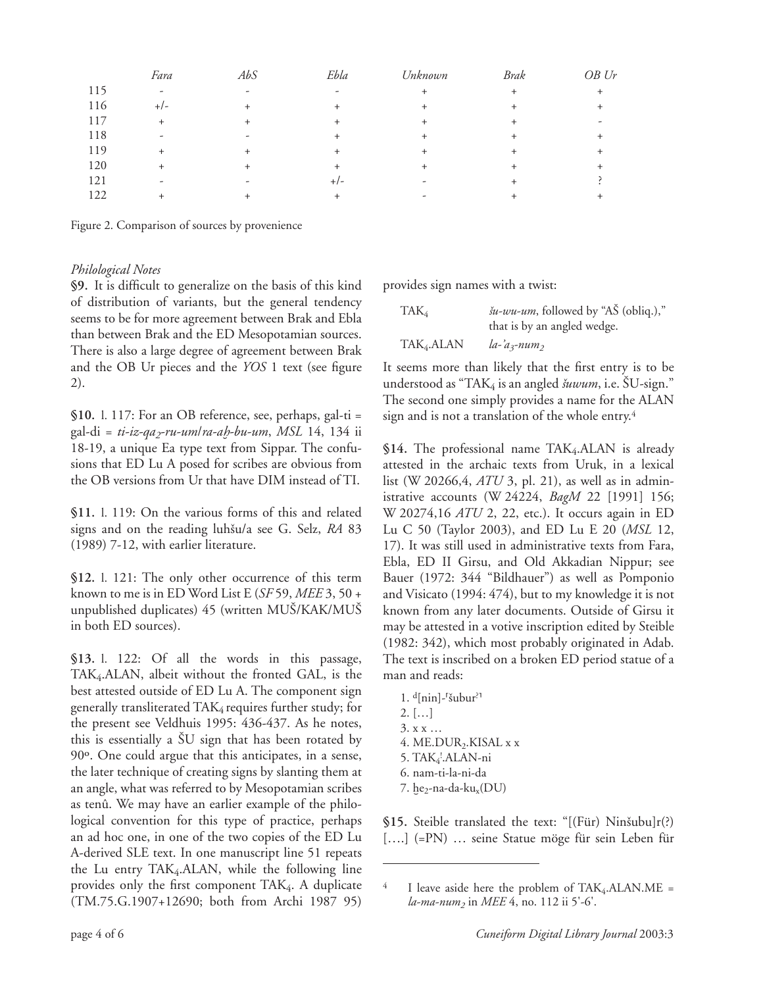|     | Fara                     | AbS    | Ebla      | Unknown   | Brak   | OB Ur |
|-----|--------------------------|--------|-----------|-----------|--------|-------|
| 115 | $\overline{\phantom{0}}$ | ۰      | ٠         | $\ddot{}$ | $^{+}$ |       |
| 116 | $+/-$                    | $^{+}$ | $\ddot{}$ | $\ddot{}$ |        |       |
| 117 | $^{+}$                   | $+$    | $^{+}$    | $\ddot{}$ | $^+$   |       |
| 118 | ٠                        | ۰      | $^{+}$    | $\ddot{}$ | $^+$   |       |
| 119 | $^{+}$                   | $^{+}$ | $^{+}$    | $\pm$     | $^+$   |       |
| 120 | $^+$                     | $^{+}$ | $\ddot{}$ | $\pm$     | $^+$   |       |
| 121 | -                        |        | $+/-$     |           |        |       |
| 122 |                          |        |           | ۰         |        |       |

Figure 2. Comparison of sources by provenience

# *Philological Notes*

**§9.** It is difficult to generalize on the basis of this kind of distribution of variants, but the general tendency seems to be for more agreement between Brak and Ebla than between Brak and the ED Mesopotamian sources. There is also a large degree of agreement between Brak and the OB Ur pieces and the *YOS* 1 text (see figure 2).

**§10.** l. 117: For an OB reference, see, perhaps, gal-ti = gal-di = *ti-iz-qa2-ru-um*/*ra-aÌ-bu-um*, *MSL* 14, 134 ii 18-19, a unique Ea type text from Sippar. The confusions that ED Lu A posed for scribes are obvious from the OB versions from Ur that have DIM instead of TI.

**§11.** l. 119: On the various forms of this and related signs and on the reading luhšu/a see G. Selz, RA 83 (1989) 7-12, with earlier literature.

**§12.** l. 121: The only other occurrence of this term known to me is in ED Word List E (*SF* 59, *MEE* 3, 50 + unpublished duplicates) 45 (written MU∑/KAK/MU∑ in both ED sources).

**§13.** l. 122: Of all the words in this passage, TAK4.ALAN, albeit without the fronted GAL, is the best attested outside of ED Lu A. The component sign generally transliterated TAK<sub>4</sub> requires further study; for the present see Veldhuis 1995: 436-437. As he notes, this is essentially a ∑U sign that has been rotated by 90º. One could argue that this anticipates, in a sense, the later technique of creating signs by slanting them at an angle, what was referred to by Mesopotamian scribes as tenû. We may have an earlier example of the philological convention for this type of practice, perhaps an ad hoc one, in one of the two copies of the ED Lu A-derived SLE text. In one manuscript line 51 repeats the Lu entry TAK4.ALAN, while the following line provides only the first component TAK<sub>4</sub>. A duplicate (TM.75.G.1907+12690; both from Archi 1987 95) provides sign names with a twist:

| TAK <sub>4</sub>       | <i>šu-wu-um</i> , followed by "AŠ (obliq.)," |
|------------------------|----------------------------------------------|
|                        | that is by an angled wedge.                  |
| TAK <sub>4</sub> .ALAN | la-'a <sub>3</sub> -num <sub>2</sub>         |

It seems more than likely that the first entry is to be understood as "TAK4 is an angled *Òuwum*, i.e. ∑U-sign." The second one simply provides a name for the ALAN sign and is not a translation of the whole entry.<sup>4</sup>

§14. The professional name TAK<sub>4</sub>.ALAN is already attested in the archaic texts from Uruk, in a lexical list (W 20266,4, *ATU* 3, pl. 21), as well as in administrative accounts (W 24224, *BagM* 22 [1991] 156; W 20274,16 *ATU* 2, 22, etc.). It occurs again in ED Lu C 50 (Taylor 2003), and ED Lu E 20 (*MSL* 12, 17). It was still used in administrative texts from Fara, Ebla, ED II Girsu, and Old Akkadian Nippur; see Bauer (1972: 344 "Bildhauer") as well as Pomponio and Visicato (1994: 474), but to my knowledge it is not known from any later documents. Outside of Girsu it may be attested in a votive inscription edited by Steible (1982: 342), which most probably originated in Adab. The text is inscribed on a broken ED period statue of a man and reads:

 $1.$  d[nin]- $\frac{3}{5}$ ubur<sup>?1</sup> 2. […] 3. x x … 4. ME.DUR<sub>2</sub>.KISAL x x 5. TAK<sub>4</sub>'.ALAN-ni 6. nam-ti-la-ni-da 7.  $he_2$ -na-da-ku<sub>x</sub>(DU)

§15. Steible translated the text: "[(Für) Ninšubu]r(?) [….] (=PN) … seine Statue möge für sein Leben für

 $^{4}$  I leave aside here the problem of TAK<sub>4</sub>.ALAN.ME = *la-ma-num2* in *MEE* 4, no. 112 ii 5'-6'.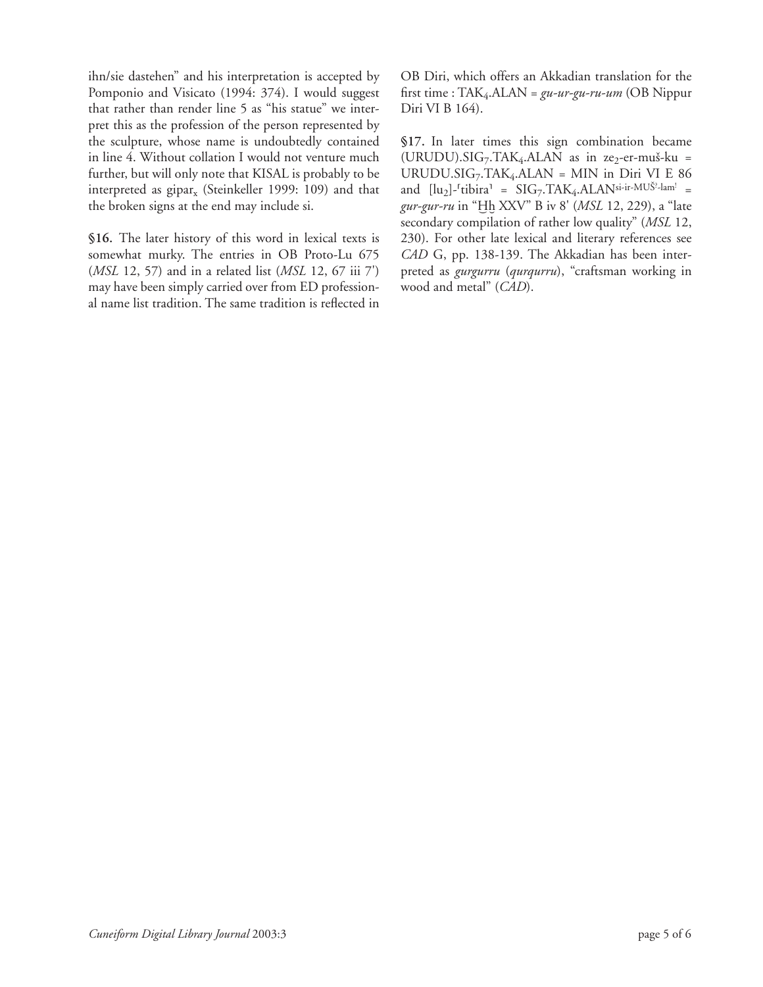ihn/sie dastehen" and his interpretation is accepted by Pomponio and Visicato (1994: 374). I would suggest that rather than render line 5 as "his statue" we interpret this as the profession of the person represented by the sculpture, whose name is undoubtedly contained in line 4. Without collation I would not venture much further, but will only note that KISAL is probably to be interpreted as gipar<sub>x</sub> (Steinkeller 1999: 109) and that the broken signs at the end may include si.

**§16.** The later history of this word in lexical texts is somewhat murky. The entries in OB Proto-Lu 675 (*MSL* 12, 57) and in a related list (*MSL* 12, 67 iii 7') may have been simply carried over from ED professional name list tradition. The same tradition is reflected in OB Diri, which offers an Akkadian translation for the first time : TAK4.ALAN = *gu-ur-gu-ru-um* (OB Nippur Diri VI B 164).

**§17.** In later times this sign combination became  $(URUDU). SIG<sub>7</sub>.TAK<sub>4</sub>.ALAN as in ze<sub>2</sub>-er-muš-ku =$ URUDU.SIG7.TAK4.ALAN = MIN in Diri VI E 86 and  $[\text{lu}_2]$ -<sup>r</sup>tibira<sup>1</sup> = SIG<sub>7</sub>.TAK<sub>4</sub>.ALAN<sup>si-ir-MUŠ<sup>2</sup>-lam<sup>1</sup> =</sup> gur-gur-ru in "Hh XXV" B iv 8' (*MSL* 12, 229), a "late secondary compilation of rather low quality" (*MSL* 12, 230). For other late lexical and literary references see *CAD* G, pp. 138-139. The Akkadian has been interpreted as *gurgurru* (*qurqurru*), "craftsman working in wood and metal" (*CAD*).